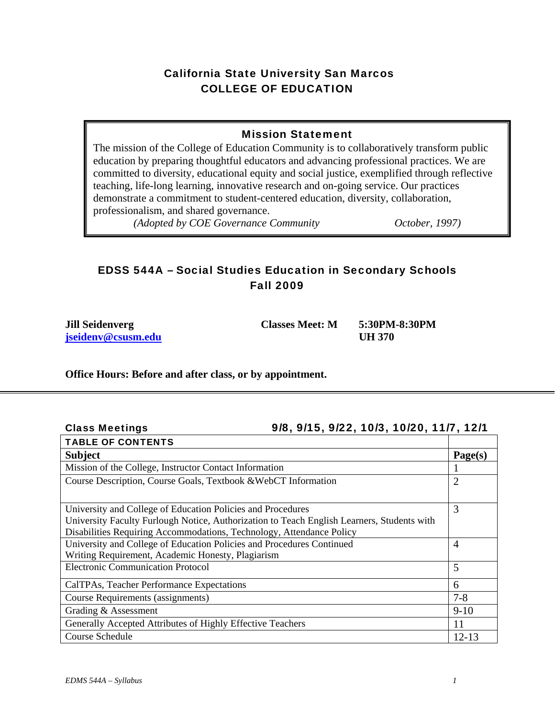## California State University San Marcos COLLEGE OF EDUCATION

## Mission Statement

The mission of the College of Education Community is to collaboratively transform public education by preparing thoughtful educators and advancing professional practices. We are committed to diversity, educational equity and social justice, exemplified through reflective teaching, life-long learning, innovative research and on-going service. Our practices demonstrate a commitment to student-centered education, diversity, collaboration, professionalism, and shared governance.

*(Adopted by COE Governance Community October, 1997)* 

# EDSS 544A – Social Studies Education in Secondary Schools Fall 2009

**Jill Seidenverg Classes Meet: M 5:30PM-8:30PM jseidenv@csusm.edu UH 370** 

**Class Meetings** 

## **Office Hours: Before and after class, or by appointment.**

## Class Meetings 9/8, 9/15, 9/22, 10/3, 10/20, 11/7, 12/1

| <b>TABLE OF CONTENTS</b>                                                                   |         |  |  |
|--------------------------------------------------------------------------------------------|---------|--|--|
| <b>Subject</b>                                                                             |         |  |  |
| Mission of the College, Instructor Contact Information                                     |         |  |  |
| Course Description, Course Goals, Textbook & WebCT Information                             |         |  |  |
|                                                                                            |         |  |  |
| University and College of Education Policies and Procedures                                |         |  |  |
| University Faculty Furlough Notice, Authorization to Teach English Learners, Students with |         |  |  |
| Disabilities Requiring Accommodations, Technology, Attendance Policy                       |         |  |  |
| University and College of Education Policies and Procedures Continued                      |         |  |  |
| Writing Requirement, Academic Honesty, Plagiarism                                          |         |  |  |
| <b>Electronic Communication Protocol</b>                                                   |         |  |  |
| CalTPAs, Teacher Performance Expectations                                                  | 6       |  |  |
| Course Requirements (assignments)                                                          | $7 - 8$ |  |  |
| Grading & Assessment                                                                       | $9-10$  |  |  |
| Generally Accepted Attributes of Highly Effective Teachers                                 | 11      |  |  |
| Course Schedule                                                                            |         |  |  |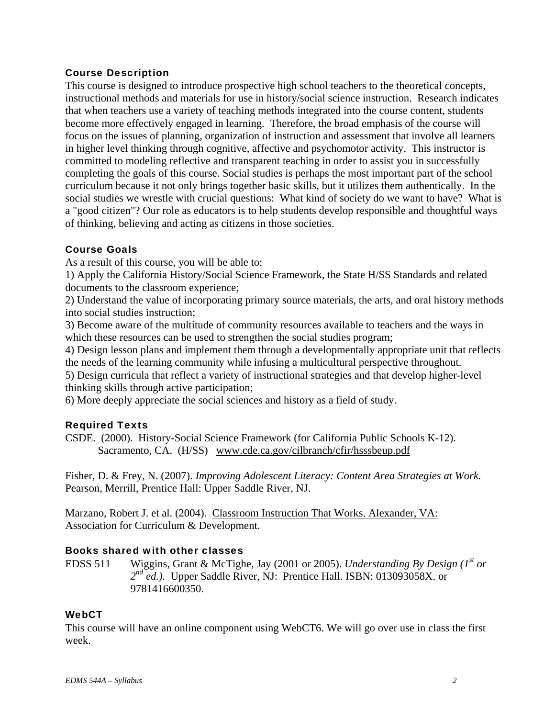## Course Description

This course is designed to introduce prospective high school teachers to the theoretical concepts, instructional methods and materials for use in history/social science instruction. Research indicates that when teachers use a variety of teaching methods integrated into the course content, students become more effectively engaged in learning. Therefore, the broad emphasis of the course will focus on the issues of planning, organization of instruction and assessment that involve all learners in higher level thinking through cognitive, affective and psychomotor activity. This instructor is committed to modeling reflective and transparent teaching in order to assist you in successfully completing the goals of this course. Social studies is perhaps the most important part of the school curriculum because it not only brings together basic skills, but it utilizes them authentically. In the social studies we wrestle with crucial questions: What kind of society do we want to have? What is a "good citizen"? Our role as educators is to help students develop responsible and thoughtful ways of thinking, believing and acting as citizens in those societies.

## Course Goals

As a result of this course, you will be able to:

1) Apply the California History/Social Science Framework, the State H/SS Standards and related documents to the classroom experience;

2) Understand the value of incorporating primary source materials, the arts, and oral history methods into social studies instruction;

3) Become aware of the multitude of community resources available to teachers and the ways in which these resources can be used to strengthen the social studies program;

4) Design lesson plans and implement them through a developmentally appropriate unit that reflects the needs of the learning community while infusing a multicultural perspective throughout.

5) Design curricula that reflect a variety of instructional strategies and that develop higher-level thinking skills through active participation;

6) More deeply appreciate the social sciences and history as a field of study.

## Required Texts

CSDE. (2000). History-Social Science Framework (for California Public Schools K-12). Sacramento, CA. (H/SS) www.cde.ca.gov/cilbranch/cfir/hsssbeup.pdf

Fisher, D. & Frey, N. (2007). *Improving Adolescent Literacy: Content Area Strategies at Work.*  Pearson, Merrill, Prentice Hall: Upper Saddle River, NJ.

Marzano, Robert J. et al. (2004). Classroom Instruction That Works. Alexander, VA: Association for Curriculum & Development.

## Books shared with other classes

**EDSS 511** EDSS 511 Wiggins, Grant & McTighe, Jay (2001 or 2005). *Understanding By Design* (1<sup>st</sup> or 2<sup>nd</sup> ed.). Upper Saddle River, NJ: Prentice Hall. ISBN: 013093058X. or 9781416600350.

## **WebCT**

This course will have an online component using WebCT6. We will go over use in class the first week.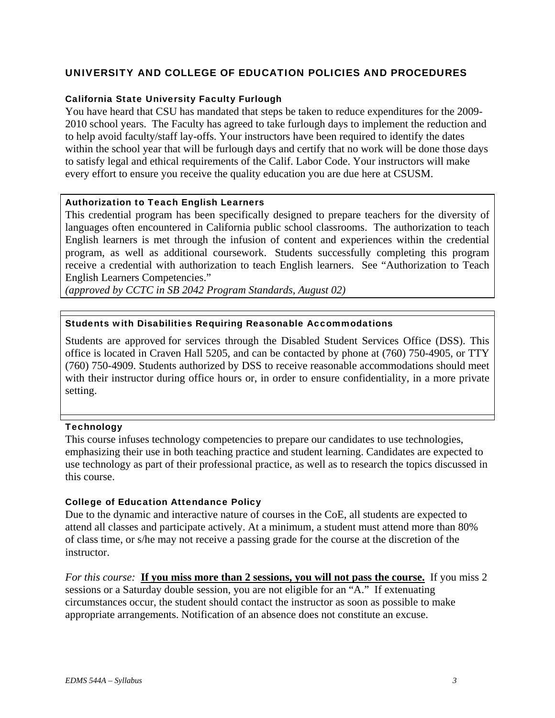## UNIVERSITY AND COLLEGE OF EDUCATION POLICIES AND PROCEDURES

#### California State University Faculty Furlough

You have heard that CSU has mandated that steps be taken to reduce expenditures for the 2009- 2010 school years. The Faculty has agreed to take furlough days to implement the reduction and to help avoid faculty/staff lay-offs. Your instructors have been required to identify the dates within the school year that will be furlough days and certify that no work will be done those days to satisfy legal and ethical requirements of the Calif. Labor Code. Your instructors will make every effort to ensure you receive the quality education you are due here at CSUSM.

#### Authorization to Teach English Learners

This credential program has been specifically designed to prepare teachers for the diversity of languages often encountered in California public school classrooms. The authorization to teach English learners is met through the infusion of content and experiences within the credential program, as well as additional coursework. Students successfully completing this program receive a credential with authorization to teach English learners. See "Authorization to Teach English Learners Competencies."

 *(approved by CCTC in SB 2042 Program Standards, August 02)* 

#### Students with Disabilities Requiring Reasonable Accommodations

Students are approved for services through the Disabled Student Services Office (DSS). This office is located in Craven Hall 5205, and can be contacted by phone at (760) 750-4905, or TTY (760) 750-4909. Students authorized by DSS to receive reasonable accommodations should meet with their instructor during office hours or, in order to ensure confidentiality, in a more private setting.

#### **Technology**

This course infuses technology competencies to prepare our candidates to use technologies, emphasizing their use in both teaching practice and student learning. Candidates are expected to use technology as part of their professional practice, as well as to research the topics discussed in this course.

#### College of Education Attendance Policy

Due to the dynamic and interactive nature of courses in the CoE, all students are expected to attend all classes and participate actively. At a minimum, a student must attend more than 80% of class time, or s/he may not receive a passing grade for the course at the discretion of the instructor.

*For this course:* **If you miss more than 2 sessions, you will not pass the course.** If you miss 2 sessions or a Saturday double session, you are not eligible for an "A." If extenuating circumstances occur, the student should contact the instructor as soon as possible to make appropriate arrangements. Notification of an absence does not constitute an excuse.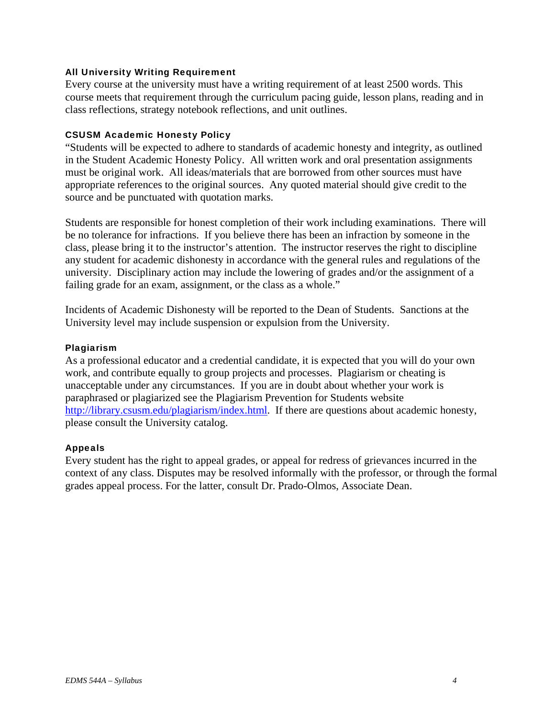#### All University Writing Requirement

Every course at the university must have a writing requirement of at least 2500 words. This course meets that requirement through the curriculum pacing guide, lesson plans, reading and in class reflections, strategy notebook reflections, and unit outlines.

#### CSUSM Academic Honesty Policy

"Students will be expected to adhere to standards of academic honesty and integrity, as outlined in the Student Academic Honesty Policy. All written work and oral presentation assignments must be original work. All ideas/materials that are borrowed from other sources must have appropriate references to the original sources. Any quoted material should give credit to the source and be punctuated with quotation marks.

Students are responsible for honest completion of their work including examinations. There will be no tolerance for infractions. If you believe there has been an infraction by someone in the class, please bring it to the instructor's attention. The instructor reserves the right to discipline any student for academic dishonesty in accordance with the general rules and regulations of the university. Disciplinary action may include the lowering of grades and/or the assignment of a failing grade for an exam, assignment, or the class as a whole."

Incidents of Academic Dishonesty will be reported to the Dean of Students. Sanctions at the University level may include suspension or expulsion from the University.

#### Plagiarism

As a professional educator and a credential candidate, it is expected that you will do your own work, and contribute equally to group projects and processes. Plagiarism or cheating is unacceptable under any circumstances. If you are in doubt about whether your work is paraphrased or plagiarized see the Plagiarism Prevention for Students website http://library.csusm.edu/plagiarism/index.html. If there are questions about academic honesty, please consult the University catalog.

## Appeals

Every student has the right to appeal grades, or appeal for redress of grievances incurred in the context of any class. Disputes may be resolved informally with the professor, or through the formal grades appeal process. For the latter, consult Dr. Prado-Olmos, Associate Dean.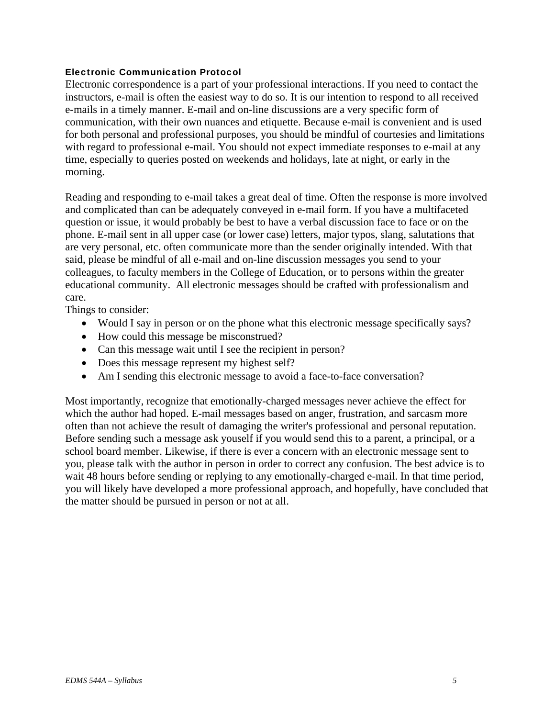#### Electronic Communication Protocol

Electronic correspondence is a part of your professional interactions. If you need to contact the instructors, e-mail is often the easiest way to do so. It is our intention to respond to all received e-mails in a timely manner. E-mail and on-line discussions are a very specific form of communication, with their own nuances and etiquette. Because e-mail is convenient and is used for both personal and professional purposes, you should be mindful of courtesies and limitations with regard to professional e-mail. You should not expect immediate responses to e-mail at any time, especially to queries posted on weekends and holidays, late at night, or early in the morning.

Reading and responding to e-mail takes a great deal of time. Often the response is more involved and complicated than can be adequately conveyed in e-mail form. If you have a multifaceted question or issue, it would probably be best to have a verbal discussion face to face or on the phone. E-mail sent in all upper case (or lower case) letters, major typos, slang, salutations that are very personal, etc. often communicate more than the sender originally intended. With that said, please be mindful of all e-mail and on-line discussion messages you send to your colleagues, to faculty members in the College of Education, or to persons within the greater educational community. All electronic messages should be crafted with professionalism and care.

Things to consider:

- Would I say in person or on the phone what this electronic message specifically says?
- How could this message be misconstrued?
- Can this message wait until I see the recipient in person?
- Does this message represent my highest self?
- Am I sending this electronic message to avoid a face-to-face conversation?

Most importantly, recognize that emotionally-charged messages never achieve the effect for which the author had hoped. E-mail messages based on anger, frustration, and sarcasm more often than not achieve the result of damaging the writer's professional and personal reputation. Before sending such a message ask youself if you would send this to a parent, a principal, or a school board member. Likewise, if there is ever a concern with an electronic message sent to you, please talk with the author in person in order to correct any confusion. The best advice is to wait 48 hours before sending or replying to any emotionally-charged e-mail. In that time period, you will likely have developed a more professional approach, and hopefully, have concluded that the matter should be pursued in person or not at all.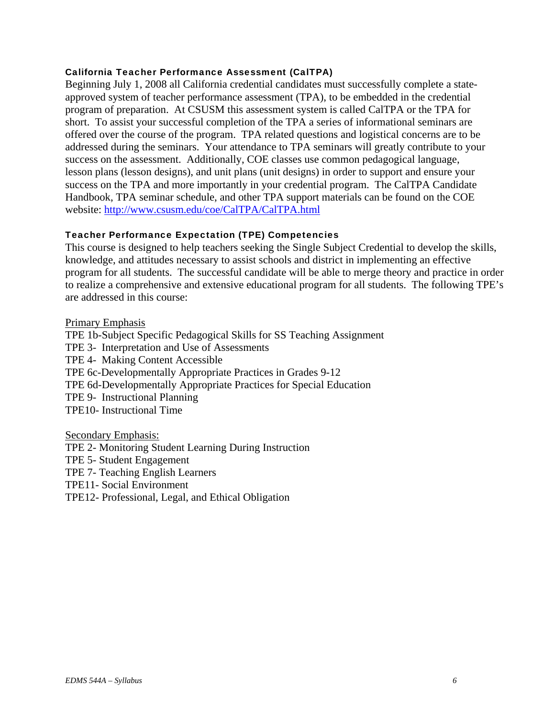#### California Teacher Performance Assessment (CalTPA)

Beginning July 1, 2008 all California credential candidates must successfully complete a stateapproved system of teacher performance assessment (TPA), to be embedded in the credential program of preparation. At CSUSM this assessment system is called CalTPA or the TPA for short. To assist your successful completion of the TPA a series of informational seminars are offered over the course of the program. TPA related questions and logistical concerns are to be addressed during the seminars. Your attendance to TPA seminars will greatly contribute to your success on the assessment. Additionally, COE classes use common pedagogical language, lesson plans (lesson designs), and unit plans (unit designs) in order to support and ensure your success on the TPA and more importantly in your credential program. The CalTPA Candidate Handbook, TPA seminar schedule, and other TPA support materials can be found on the COE website: http://www.csusm.edu/coe/CalTPA/CalTPA.html

## Teacher Performance Expectation (TPE) Competencies

This course is designed to help teachers seeking the Single Subject Credential to develop the skills, knowledge, and attitudes necessary to assist schools and district in implementing an effective program for all students. The successful candidate will be able to merge theory and practice in order to realize a comprehensive and extensive educational program for all students. The following TPE's are addressed in this course:

Primary Emphasis

TPE10- Instructional Time<br>Secondary Emphasis: TPE 1b-Subject Specific Pedagogical Skills for SS Teaching Assignment TPE 3- Interpretation and Use of Assessments TPE 4- Making Content Accessible TPE 6c-Developmentally Appropriate Practices in Grades 9-12 TPE 6d-Developmentally Appropriate Practices for Special Education TPE 9- Instructional Planning

TPE 2- Monitoring Student Learning During Instruction TPE 5- Student Engagement TPE 7- Teaching English Learners TPE11- Social Environment TPE12- Professional, Legal, and Ethical Obligation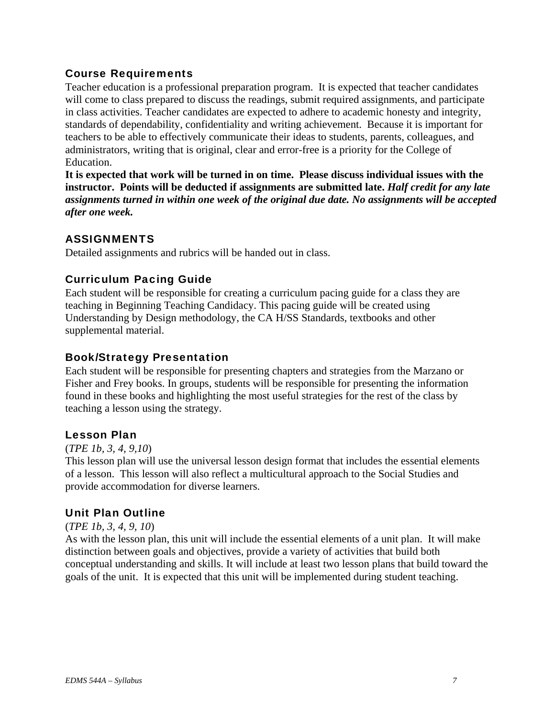## Course Requirements

Teacher education is a professional preparation program. It is expected that teacher candidates will come to class prepared to discuss the readings, submit required assignments, and participate in class activities. Teacher candidates are expected to adhere to academic honesty and integrity, standards of dependability, confidentiality and writing achievement. Because it is important for teachers to be able to effectively communicate their ideas to students, parents, colleagues, and administrators, writing that is original, clear and error-free is a priority for the College of Education.

 *after one week.* **It is expected that work will be turned in on time. Please discuss individual issues with the instructor. Points will be deducted if assignments are submitted late.** *Half credit for any late assignments turned in within one week of the original due date. No assignments will be accepted* 

## ASSIGNMENTS

Detailed assignments and rubrics will be handed out in class.

## Curriculum Pacing Guide

Each student will be responsible for creating a curriculum pacing guide for a class they are teaching in Beginning Teaching Candidacy. This pacing guide will be created using Understanding by Design methodology, the CA H/SS Standards, textbooks and other supplemental material.

## Book/Strategy Presentation

Each student will be responsible for presenting chapters and strategies from the Marzano or Fisher and Frey books. In groups, students will be responsible for presenting the information found in these books and highlighting the most useful strategies for the rest of the class by teaching a lesson using the strategy.

## Lesson Plan

## (*TPE 1b, 3, 4, 9,10*)

This lesson plan will use the universal lesson design format that includes the essential elements of a lesson. This lesson will also reflect a multicultural approach to the Social Studies and provide accommodation for diverse learners.

## Unit Plan Outline

## (*TPE 1b, 3, 4, 9, 10*)

As with the lesson plan, this unit will include the essential elements of a unit plan. It will make distinction between goals and objectives, provide a variety of activities that build both conceptual understanding and skills. It will include at least two lesson plans that build toward the goals of the unit. It is expected that this unit will be implemented during student teaching.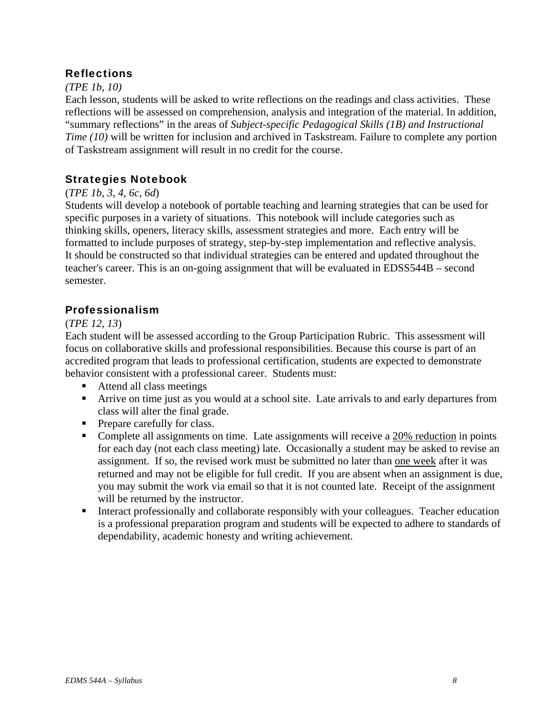## Reflections

## *(TPE 1b, 10)*

Each lesson, students will be asked to write reflections on the readings and class activities. These reflections will be assessed on comprehension, analysis and integration of the material. In addition, "summary reflections" in the areas of *Subject-specific Pedagogical Skills (1B) and Instructional Time (10)* will be written for inclusion and archived in Taskstream. Failure to complete any portion of Taskstream assignment will result in no credit for the course.

## Strategies Notebook

## (*TPE 1b, 3, 4, 6c, 6d*)

Students will develop a notebook of portable teaching and learning strategies that can be used for specific purposes in a variety of situations. This notebook will include categories such as thinking skills, openers, literacy skills, assessment strategies and more. Each entry will be formatted to include purposes of strategy, step-by-step implementation and reflective analysis. It should be constructed so that individual strategies can be entered and updated throughout the teacher's career. This is an on-going assignment that will be evaluated in EDSS544B – second semester.

## Professionalism

## (*TPE 12, 13*)

Each student will be assessed according to the Group Participation Rubric. This assessment will focus on collaborative skills and professional responsibilities. Because this course is part of an accredited program that leads to professional certification, students are expected to demonstrate behavior consistent with a professional career. Students must:

- Attend all class meetings
- Arrive on time just as you would at a school site. Late arrivals to and early departures from class will alter the final grade.
- Prepare carefully for class.
- Complete all assignments on time. Late assignments will receive a 20% reduction in points for each day (not each class meeting) late. Occasionally a student may be asked to revise an assignment. If so, the revised work must be submitted no later than one week after it was returned and may not be eligible for full credit. If you are absent when an assignment is due, you may submit the work via email so that it is not counted late. Receipt of the assignment will be returned by the instructor.
- Interact professionally and collaborate responsibly with your colleagues. Teacher education is a professional preparation program and students will be expected to adhere to standards of dependability, academic honesty and writing achievement.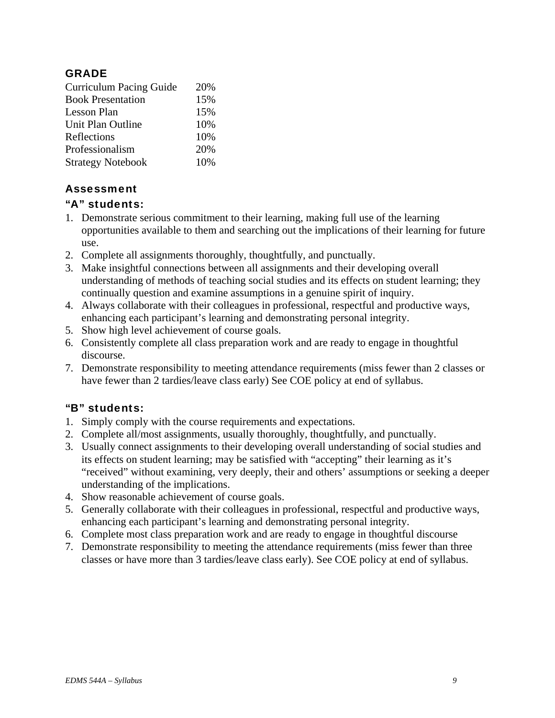## **GRADE**

| 20% |
|-----|
| 15% |
| 15% |
| 10% |
| 10% |
| 20% |
| 10% |
|     |

## Assessment

## "A" students:

- 1. Demonstrate serious commitment to their learning, making full use of the learning opportunities available to them and searching out the implications of their learning for future use.
- 2. Complete all assignments thoroughly, thoughtfully, and punctually.
- 3. Make insightful connections between all assignments and their developing overall understanding of methods of teaching social studies and its effects on student learning; they continually question and examine assumptions in a genuine spirit of inquiry.
- 4. Always collaborate with their colleagues in professional, respectful and productive ways, enhancing each participant's learning and demonstrating personal integrity.
- 5. Show high level achievement of course goals.
- 6. Consistently complete all class preparation work and are ready to engage in thoughtful discourse.
- 7. Demonstrate responsibility to meeting attendance requirements (miss fewer than 2 classes or have fewer than 2 tardies/leave class early) See COE policy at end of syllabus.

## "B" students:

- 1. Simply comply with the course requirements and expectations.
- 2. Complete all/most assignments, usually thoroughly, thoughtfully, and punctually.
- 3. Usually connect assignments to their developing overall understanding of social studies and its effects on student learning; may be satisfied with "accepting" their learning as it's "received" without examining, very deeply, their and others' assumptions or seeking a deeper understanding of the implications.
- 4. Show reasonable achievement of course goals.
- 5. Generally collaborate with their colleagues in professional, respectful and productive ways, enhancing each participant's learning and demonstrating personal integrity.
- 6. Complete most class preparation work and are ready to engage in thoughtful discourse
- 7. Demonstrate responsibility to meeting the attendance requirements (miss fewer than three classes or have more than 3 tardies/leave class early). See COE policy at end of syllabus.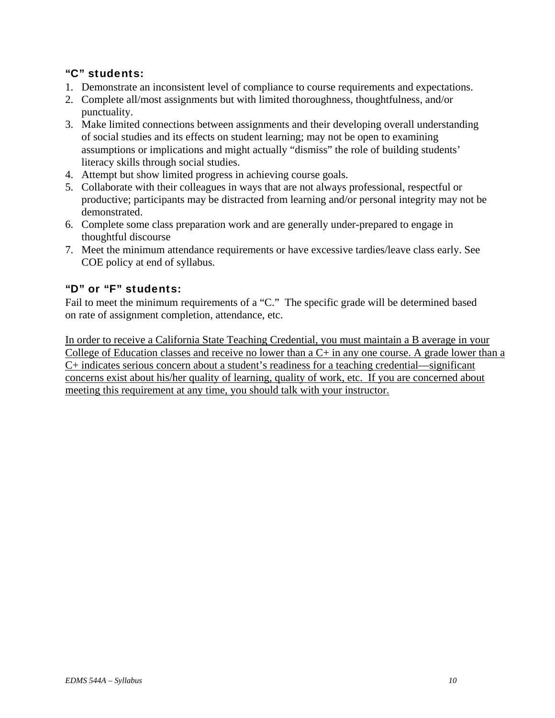## "C" students:

- 1. Demonstrate an inconsistent level of compliance to course requirements and expectations.
- 2. Complete all/most assignments but with limited thoroughness, thoughtfulness, and/or punctuality.
- 3. Make limited connections between assignments and their developing overall understanding of social studies and its effects on student learning; may not be open to examining assumptions or implications and might actually "dismiss" the role of building students' literacy skills through social studies.
- 4. Attempt but show limited progress in achieving course goals.
- 5. Collaborate with their colleagues in ways that are not always professional, respectful or productive; participants may be distracted from learning and/or personal integrity may not be demonstrated.
- 6. Complete some class preparation work and are generally under-prepared to engage in thoughtful discourse
- 7. Meet the minimum attendance requirements or have excessive tardies/leave class early. See COE policy at end of syllabus.

## "D" or "F" students:

Fail to meet the minimum requirements of a "C." The specific grade will be determined based on rate of assignment completion, attendance, etc.

In order to receive a California State Teaching Credential, you must maintain a B average in your College of Education classes and receive no lower than a C+ in any one course. A grade lower than a C+ indicates serious concern about a student's readiness for a teaching credential—significant concerns exist about his/her quality of learning, quality of work, etc. If you are concerned about meeting this requirement at any time, you should talk with your instructor.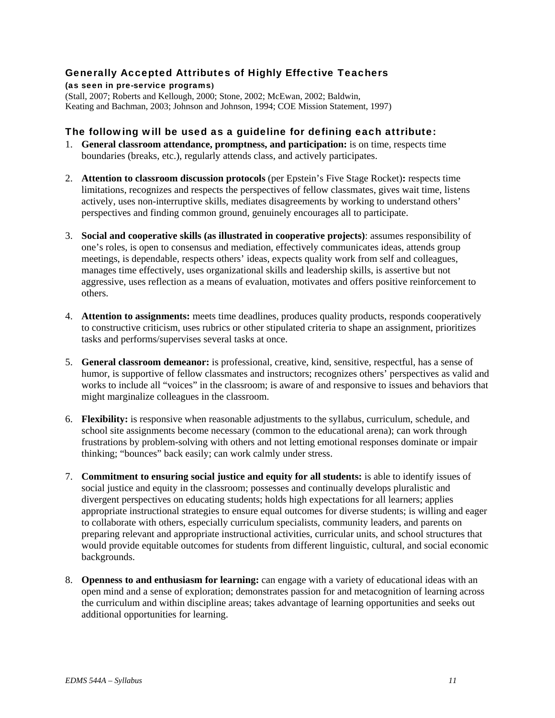## Generally Accepted Attributes of Highly Effective Teachers

(as seen in pre-service programs**)**  (Stall, 2007; Roberts and Kellough, 2000; Stone, 2002; McEwan, 2002; Baldwin, Keating and Bachman, 2003; Johnson and Johnson, 1994; COE Mission Statement, 1997)

#### The following will be used as a guideline for defining each attribute:

- 1. **General classroom attendance, promptness, and participation:** is on time, respects time boundaries (breaks, etc.), regularly attends class, and actively participates.
- 2. **Attention to classroom discussion protocols** (per Epstein's Five Stage Rocket)**:** respects time limitations, recognizes and respects the perspectives of fellow classmates, gives wait time, listens actively, uses non-interruptive skills, mediates disagreements by working to understand others' perspectives and finding common ground, genuinely encourages all to participate.
- 3. **Social and cooperative skills (as illustrated in cooperative projects)**: assumes responsibility of one's roles, is open to consensus and mediation, effectively communicates ideas, attends group meetings, is dependable, respects others' ideas, expects quality work from self and colleagues, manages time effectively, uses organizational skills and leadership skills, is assertive but not aggressive, uses reflection as a means of evaluation, motivates and offers positive reinforcement to others.
- 4. **Attention to assignments:** meets time deadlines, produces quality products, responds cooperatively to constructive criticism, uses rubrics or other stipulated criteria to shape an assignment, prioritizes tasks and performs/supervises several tasks at once.
- 5. **General classroom demeanor:** is professional, creative, kind, sensitive, respectful, has a sense of humor, is supportive of fellow classmates and instructors; recognizes others' perspectives as valid and works to include all "voices" in the classroom; is aware of and responsive to issues and behaviors that might marginalize colleagues in the classroom.
- 6. **Flexibility:** is responsive when reasonable adjustments to the syllabus, curriculum, schedule, and school site assignments become necessary (common to the educational arena); can work through frustrations by problem-solving with others and not letting emotional responses dominate or impair thinking; "bounces" back easily; can work calmly under stress.
- 7. **Commitment to ensuring social justice and equity for all students:** is able to identify issues of social justice and equity in the classroom; possesses and continually develops pluralistic and divergent perspectives on educating students; holds high expectations for all learners; applies appropriate instructional strategies to ensure equal outcomes for diverse students; is willing and eager to collaborate with others, especially curriculum specialists, community leaders, and parents on preparing relevant and appropriate instructional activities, curricular units, and school structures that would provide equitable outcomes for students from different linguistic, cultural, and social economic backgrounds.
- 8. **Openness to and enthusiasm for learning:** can engage with a variety of educational ideas with an open mind and a sense of exploration; demonstrates passion for and metacognition of learning across the curriculum and within discipline areas; takes advantage of learning opportunities and seeks out additional opportunities for learning.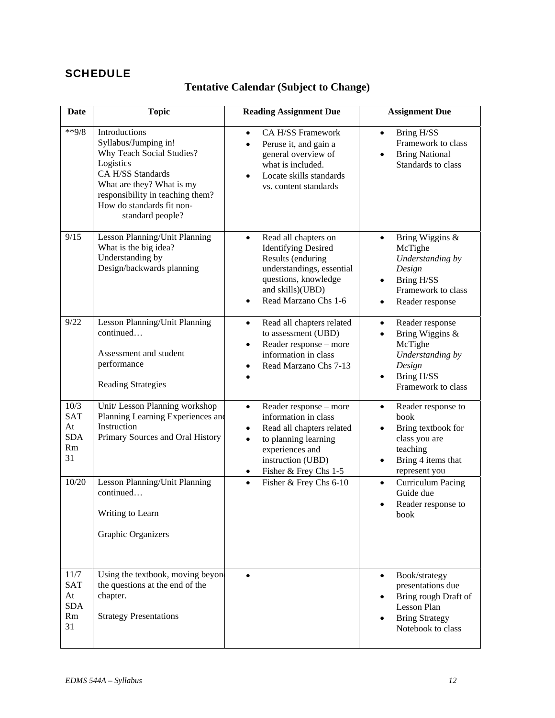# **SCHEDULE**

# **Tentative Calendar (Subject to Change)**

| <b>Date</b>                                        | <b>Topic</b>                                                                                                                                                                                                           | <b>Reading Assignment Due</b>                                                                                                                                                                                            | <b>Assignment Due</b>                                                                                                                          |
|----------------------------------------------------|------------------------------------------------------------------------------------------------------------------------------------------------------------------------------------------------------------------------|--------------------------------------------------------------------------------------------------------------------------------------------------------------------------------------------------------------------------|------------------------------------------------------------------------------------------------------------------------------------------------|
| $*$ $9/8$                                          | Introductions<br>Syllabus/Jumping in!<br>Why Teach Social Studies?<br>Logistics<br>CA H/SS Standards<br>What are they? What is my<br>responsibility in teaching them?<br>How do standards fit non-<br>standard people? | CA H/SS Framework<br>$\bullet$<br>Peruse it, and gain a<br>$\bullet$<br>general overview of<br>what is included.<br>Locate skills standards<br>$\bullet$<br>vs. content standards                                        | Bring H/SS<br>$\bullet$<br>Framework to class<br><b>Bring National</b><br>$\bullet$<br>Standards to class                                      |
| 9/15                                               | Lesson Planning/Unit Planning<br>What is the big idea?<br>Understanding by<br>Design/backwards planning                                                                                                                | Read all chapters on<br>$\bullet$<br><b>Identifying Desired</b><br>Results (enduring<br>understandings, essential<br>questions, knowledge<br>and skills)(UBD)<br>Read Marzano Chs 1-6<br>$\bullet$                       | Bring Wiggins &<br>$\bullet$<br>McTighe<br>Understanding by<br>Design<br>Bring H/SS<br>$\bullet$<br>Framework to class<br>Reader response<br>٠ |
| 9/22                                               | Lesson Planning/Unit Planning<br>continued<br>Assessment and student<br>performance<br><b>Reading Strategies</b>                                                                                                       | Read all chapters related<br>$\bullet$<br>to assessment (UBD)<br>Reader response - more<br>$\bullet$<br>information in class<br>Read Marzano Chs 7-13<br>$\bullet$                                                       | Reader response<br>$\bullet$<br>Bring Wiggins &<br>McTighe<br>Understanding by<br>Design<br>Bring H/SS<br>Framework to class                   |
| 10/3<br><b>SAT</b><br>At<br><b>SDA</b><br>Rm<br>31 | Unit/ Lesson Planning workshop<br>Planning Learning Experiences and<br>Instruction<br>Primary Sources and Oral History                                                                                                 | Reader response - more<br>$\bullet$<br>information in class<br>Read all chapters related<br>$\bullet$<br>to planning learning<br>$\bullet$<br>experiences and<br>instruction (UBD)<br>Fisher & Frey Chs 1-5<br>$\bullet$ | Reader response to<br>$\bullet$<br>book<br>Bring textbook for<br>class you are<br>teaching<br>Bring 4 items that<br>represent you              |
| 10/20                                              | Lesson Planning/Unit Planning<br>continued<br>Writing to Learn<br>Graphic Organizers                                                                                                                                   | Fisher & Frey Chs 6-10<br>$\bullet$                                                                                                                                                                                      | <b>Curriculum Pacing</b><br>$\bullet$<br>Guide due<br>Reader response to<br>$\bullet$<br>book                                                  |
| 11/7<br><b>SAT</b><br>At<br><b>SDA</b><br>Rm<br>31 | Using the textbook, moving beyon<br>the questions at the end of the<br>chapter.<br><b>Strategy Presentations</b>                                                                                                       | $\bullet$                                                                                                                                                                                                                | Book/strategy<br>$\bullet$<br>presentations due<br>Bring rough Draft of<br>Lesson Plan<br><b>Bring Strategy</b><br>Notebook to class           |